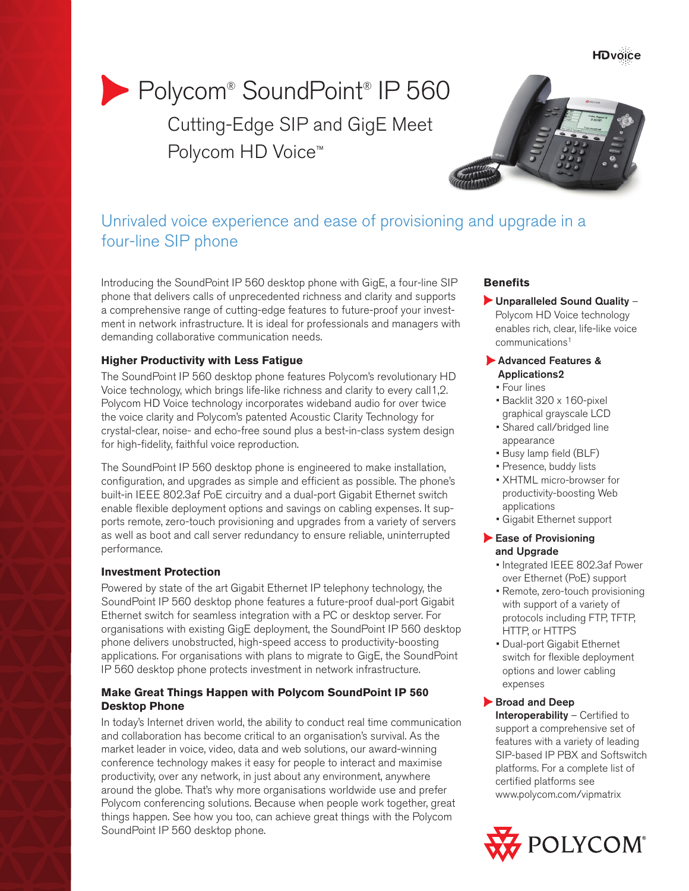# Polycom® SoundPoint® IP 560 Cutting-Edge SIP and GigE Meet Polycom HD Voice<sup>™</sup>

## Unrivaled voice experience and ease of provisioning and upgrade in a four-line SIP phone

Introducing the SoundPoint IP 560 desktop phone with GigE, a four-line SIP phone that delivers calls of unprecedented richness and clarity and supports a comprehensive range of cutting-edge features to future-proof your investment in network infrastructure. It is ideal for professionals and managers with demanding collaborative communication needs.

## **Higher Productivity with Less Fatigue**

The SoundPoint IP 560 desktop phone features Polycom's revolutionary HD Voice technology, which brings life-like richness and clarity to every call1,2. Polycom HD Voice technology incorporates wideband audio for over twice the voice clarity and Polycom's patented Acoustic Clarity Technology for crystal-clear, noise- and echo-free sound plus a best-in-class system design for high-fidelity, faithful voice reproduction.

The SoundPoint IP 560 desktop phone is engineered to make installation, configuration, and upgrades as simple and efficient as possible. The phone's built-in IEEE 802.3af PoE circuitry and a dual-port Gigabit Ethernet switch enable flexible deployment options and savings on cabling expenses. It supports remote, zero-touch provisioning and upgrades from a variety of servers as well as boot and call server redundancy to ensure reliable, uninterrupted performance.

## **Investment Protection**

Powered by state of the art Gigabit Ethernet IP telephony technology, the SoundPoint IP 560 desktop phone features a future-proof dual-port Gigabit Ethernet switch for seamless integration with a PC or desktop server. For organisations with existing GigE deployment, the SoundPoint IP 560 desktop phone delivers unobstructed, high-speed access to productivity-boosting applications. For organisations with plans to migrate to GigE, the SoundPoint IP 560 desktop phone protects investment in network infrastructure.

## **Make Great Things Happen with Polycom SoundPoint IP 560 Desktop Phone**

In today's Internet driven world, the ability to conduct real time communication and collaboration has become critical to an organisation's survival. As the market leader in voice, video, data and web solutions, our award-winning conference technology makes it easy for people to interact and maximise productivity, over any network, in just about any environment, anywhere around the globe. That's why more organisations worldwide use and prefer Polycom conferencing solutions. Because when people work together, great things happen. See how you too, can achieve great things with the Polycom SoundPoint IP 560 desktop phone.

## **Benefits**

Unparalleled Sound Quality – Polycom HD Voice technology enables rich, clear, life-like voice communications1

#### Advanced Features & Applications2

- Four lines
- Backlit 320 x 160-pixel graphical grayscale LCD
- Shared call/bridged line appearance
- Busy lamp field (BLF)
- Presence, buddy lists
- XHTML micro-browser for productivity-boosting Web applications
- Gigabit Ethernet support

#### Ease of Provisioning and Upgrade

- Integrated IEEE 802.3af Power over Ethernet (PoE) support
- Remote, zero-touch provisioning with support of a variety of protocols including FTP, TFTP, HTTP, or HTTPS
- Dual-port Gigabit Ethernet switch for flexible deployment options and lower cabling expenses

## Broad and Deep

Interoperability – Certified to support a comprehensive set of features with a variety of leading SIP-based IP PBX and Softswitch platforms. For a complete list of certified platforms see www.polycom.com/vipmatrix